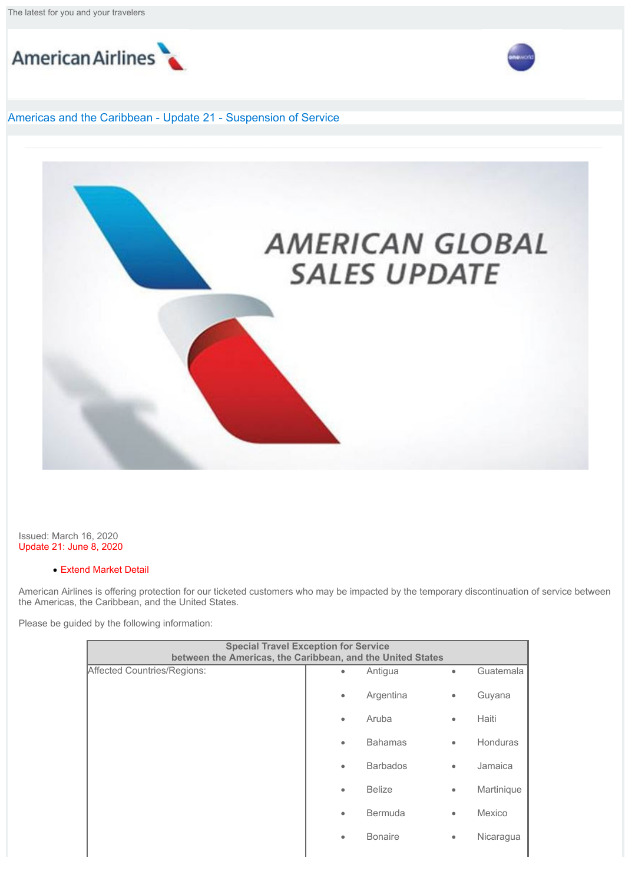The latest for you and your travelers





## Americas and the Caribbean - Update 21 - Suspension of Service



Issued: March 16, 2020 Update 21: June 8, 2020

## · Extend Market Detail

American Airlines is offering protection for our ticketed customers who may be impacted by the temporary discontinuation of service between the Americas, the Caribbean, and the United States.

Please be guided by the following information:

| <b>Special Travel Exception for Service</b><br>between the Americas, the Caribbean, and the United States |           |                 |           |            |
|-----------------------------------------------------------------------------------------------------------|-----------|-----------------|-----------|------------|
| Affected Countries/Regions:                                                                               | ٠         | Antigua         | $\bullet$ | Guatemala  |
|                                                                                                           | $\bullet$ | Argentina       | $\bullet$ | Guyana     |
|                                                                                                           | $\bullet$ | Aruba           | ۰         | Haiti      |
|                                                                                                           | $\bullet$ | <b>Bahamas</b>  | $\bullet$ | Honduras   |
|                                                                                                           | $\bullet$ | <b>Barbados</b> | $\bullet$ | Jamaica    |
|                                                                                                           | $\bullet$ | <b>Belize</b>   | $\bullet$ | Martinique |
|                                                                                                           | $\bullet$ | <b>Bermuda</b>  | $\bullet$ | Mexico     |
|                                                                                                           | $\bullet$ | <b>Bonaire</b>  | $\bullet$ | Nicaragua  |
|                                                                                                           |           |                 |           |            |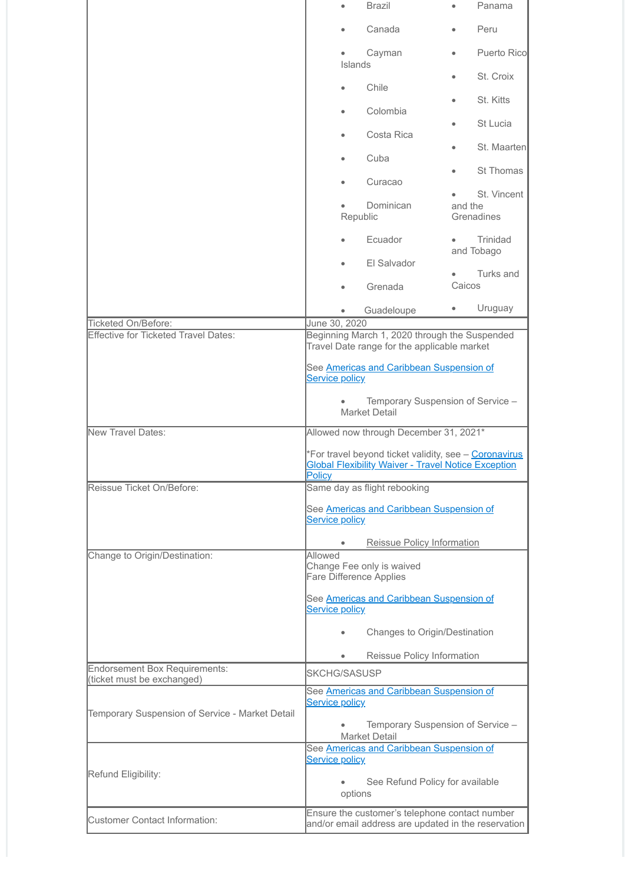|                                                             | $\bullet$                                                                                                                                       | <b>Brazil</b>                                                                                         |           | Panama                               |  |  |
|-------------------------------------------------------------|-------------------------------------------------------------------------------------------------------------------------------------------------|-------------------------------------------------------------------------------------------------------|-----------|--------------------------------------|--|--|
|                                                             |                                                                                                                                                 | Canada                                                                                                |           | Peru                                 |  |  |
|                                                             | Islands                                                                                                                                         | Cayman                                                                                                |           | <b>Puerto Ricol</b>                  |  |  |
|                                                             | $\bullet$                                                                                                                                       | Chile                                                                                                 |           | St. Croix                            |  |  |
|                                                             |                                                                                                                                                 | Colombia                                                                                              |           | St. Kitts                            |  |  |
|                                                             |                                                                                                                                                 | Costa Rica                                                                                            |           | St Lucia                             |  |  |
|                                                             |                                                                                                                                                 | Cuba                                                                                                  |           | St. Maarten                          |  |  |
|                                                             | $\bullet$                                                                                                                                       | Curacao                                                                                               |           | St Thomas                            |  |  |
|                                                             | ٠                                                                                                                                               | Dominican<br>Republic                                                                                 |           | St. Vincent<br>and the<br>Grenadines |  |  |
|                                                             |                                                                                                                                                 | Ecuador                                                                                               |           | Trinidad<br>and Tobago               |  |  |
|                                                             |                                                                                                                                                 | El Salvador<br>Grenada                                                                                | Caicos    | Turks and                            |  |  |
|                                                             |                                                                                                                                                 | Guadeloupe                                                                                            | $\bullet$ | Uruguay                              |  |  |
| Ticketed On/Before:                                         | June 30, 2020                                                                                                                                   |                                                                                                       |           |                                      |  |  |
| <b>Effective for Ticketed Travel Dates:</b>                 | Beginning March 1, 2020 through the Suspended<br>Travel Date range for the applicable market<br>See <b>Americas and Caribbean Suspension of</b> |                                                                                                       |           |                                      |  |  |
|                                                             | <b>Service policy</b>                                                                                                                           |                                                                                                       |           |                                      |  |  |
|                                                             | Temporary Suspension of Service -<br>Market Detail                                                                                              |                                                                                                       |           |                                      |  |  |
| New Travel Dates:                                           | Allowed now through December 31, 2021*                                                                                                          |                                                                                                       |           |                                      |  |  |
|                                                             | *For travel beyond ticket validity, see - Coronavirus<br><b>Global Flexibility Waiver - Travel Notice Exception</b><br><u>Policy</u>            |                                                                                                       |           |                                      |  |  |
|                                                             |                                                                                                                                                 |                                                                                                       |           |                                      |  |  |
| Reissue Ticket On/Before:                                   |                                                                                                                                                 | Same day as flight rebooking                                                                          |           |                                      |  |  |
|                                                             | <b>Service policy</b>                                                                                                                           | See <b>Americas and Caribbean Suspension of</b>                                                       |           |                                      |  |  |
|                                                             |                                                                                                                                                 | Reissue Policy Information                                                                            |           |                                      |  |  |
| Change to Origin/Destination:                               | Allowed<br><b>Fare Difference Applies</b>                                                                                                       | Change Fee only is waived                                                                             |           |                                      |  |  |
|                                                             | <b>Service policy</b>                                                                                                                           | See Americas and Caribbean Suspension of                                                              |           |                                      |  |  |
|                                                             |                                                                                                                                                 | Changes to Origin/Destination                                                                         |           |                                      |  |  |
|                                                             | $\bullet$                                                                                                                                       | Reissue Policy Information                                                                            |           |                                      |  |  |
| Endorsement Box Requirements:<br>(ticket must be exchanged) | SKCHG/SASUSP                                                                                                                                    |                                                                                                       |           |                                      |  |  |
|                                                             |                                                                                                                                                 | See Americas and Caribbean Suspension of                                                              |           |                                      |  |  |
| Temporary Suspension of Service - Market Detail             | <b>Service policy</b>                                                                                                                           | Temporary Suspension of Service -                                                                     |           |                                      |  |  |
|                                                             |                                                                                                                                                 | <b>Market Detail</b>                                                                                  |           |                                      |  |  |
|                                                             | <b>Service policy</b>                                                                                                                           | See Americas and Caribbean Suspension of                                                              |           |                                      |  |  |
| Refund Eligibility:                                         | options                                                                                                                                         | See Refund Policy for available                                                                       |           |                                      |  |  |
| Customer Contact Information:                               |                                                                                                                                                 | Ensure the customer's telephone contact number<br>and/or email address are updated in the reservation |           |                                      |  |  |